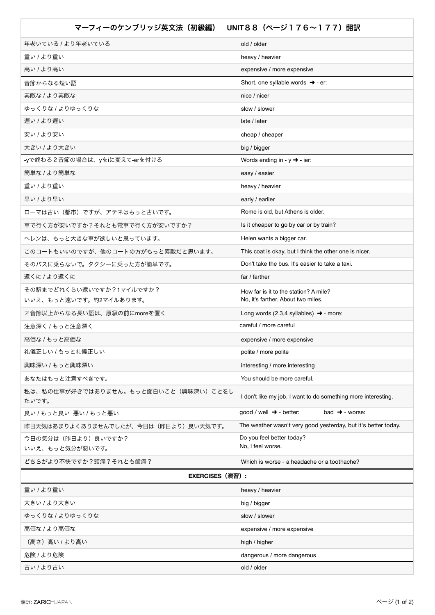| マーフィーのケンブリッジ英文法(初級編)<br>UNIT88 (ページ176~177) 翻訳 |                                                                     |
|------------------------------------------------|---------------------------------------------------------------------|
| 年老いている / より年老いている                              | old / older                                                         |
| 重い / より重い                                      | heavy / heavier                                                     |
| 高い / より高い                                      | expensive / more expensive                                          |
| 音節からなる短い語                                      | Short, one syllable words $\rightarrow$ - er:                       |
| 素敵な / より素敵な                                    | nice / nicer                                                        |
| ゆっくりな / よりゆっくりな                                | slow / slower                                                       |
| 遅い / より遅い                                      | late / later                                                        |
| 安い / より安い                                      | cheap / cheaper                                                     |
| 大きい / より大きい                                    | big / bigger                                                        |
| -γで終わる2音節の場合は、γをiに変えて-erを付ける                   | Words ending in - $y \rightarrow -$ ier:                            |
| 簡単な / より簡単な                                    | easy / easier                                                       |
| 重い / より重い                                      | heavy / heavier                                                     |
| 早い / より早い                                      | early / earlier                                                     |
| ローマは古い(都市)ですが、アテネはもっと古いです。                     | Rome is old, but Athens is older.                                   |
| 車で行く方が安いですか?それとも電車で行く方が安いですか?                  | Is it cheaper to go by car or by train?                             |
| ヘレンは、もっと大きな車が欲しいと思っています。                       | Helen wants a bigger car.                                           |
| このコートもいいのですが、他のコートの方がもっと素敵だと思います。              | This coat is okay, but I think the other one is nicer.              |
| そのバスに乗らないで。タクシーに乗った方が簡単です。                     | Don't take the bus. It's easier to take a taxi.                     |
| 遠くに / より遠くに                                    | far / farther                                                       |
| その駅までどれくらい遠いですか?1マイルですか?                       | How far is it to the station? A mile?                               |
| いいえ、もっと遠いです。約2マイルあります。                         | No, it's farther. About two miles.                                  |
| 2音節以上からなる長い語は、原級の前にmoreを置く                     | Long words (2,3,4 syllables) $\rightarrow$ - more:                  |
| 注意深く / もっと注意深く                                 | careful / more careful                                              |
| 高価な / もっと高価な                                   | expensive / more expensive                                          |
| 礼儀正しい / もっと礼儀正しい                               | polite / more polite                                                |
| 興味深い / もっと興味深い                                 | interesting / more interesting                                      |
| あなたはもっと注意すべきです。                                | You should be more careful.                                         |
| 私は、私の仕事が好きではありません。もっと面白いこと(興味深い)ことをし<br>たいです。  | I don't like my job. I want to do something more interesting.       |
| 良い/もっと良い 悪い/もっと悪い                              | $good / well$ $\rightarrow$ - better:<br>bad $\rightarrow$ - worse: |
| 昨日天気はあまりよくありませんでしたが、今日は(昨日より)良い天気です。           | The weather wasn't very good yesterday, but it's better today.      |
| 今日の気分は(昨日より)良いですか?<br>いいえ、もっと気分が悪いです。          | Do you feel better today?<br>No, I feel worse.                      |
| どちらがより不快ですか?頭痛?それとも歯痛?                         | Which is worse - a headache or a toothache?                         |
| <b>EXERCISES</b> (演習) :                        |                                                                     |
| 重い / より重い                                      | heavy / heavier                                                     |
| 大きい / より大きい                                    | big / bigger                                                        |
| ゆっくりな / よりゆっくりな                                | slow / slower                                                       |
| 高価な / より高価な                                    | expensive / more expensive                                          |
| (高さ) 高い / より高い                                 | high / higher                                                       |
| 危険 / より危険                                      | dangerous / more dangerous                                          |
| 古い / より古い                                      | old / older                                                         |